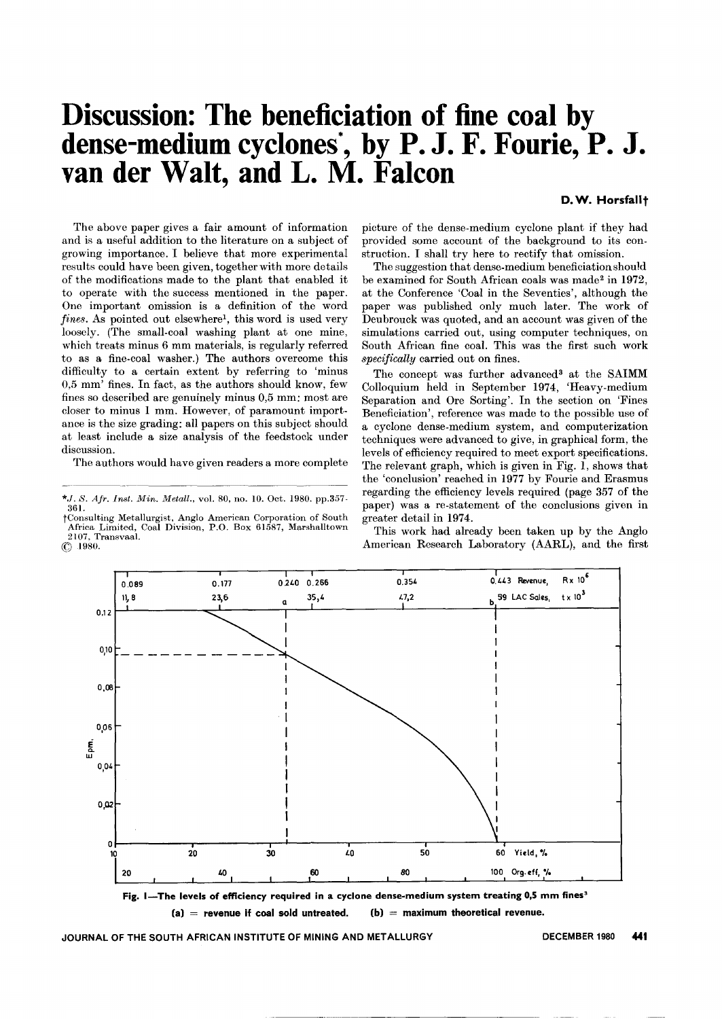## **Discussion: The beneficiation of fine coal by dense-medium cyclones**\*, **by** P. J. F. F**ourie,** P. J. **van** der Walt, and L. M. Falcon

D.W. Horsfallt

The above paper gives a fair amount of information and is a useful addition to the literature on a subject of growing importance. I believe that more experimental results could have been given, together with more details of the modifications made to the plant that enabled it to operate with the success mentioned in the paper. One important omission is a definition of the word *fines.* As pointed out elsewhere!, this word is used very loosely. (The small-coal washing plant at one mine, which treats minus 6 mm materials, is regularly referred to as a fine-coal washer.) The authors overcome this difficulty to a certain extent by referring to 'minus 0,5 mm' fines. In fact, as the authors should know, few fines so described are genuinely minus 0,5 mm; most are closer to minus 1 mm. However, of paramount importance is the size grading: all papers on this subject should at least include a size analysis of the feedstock under discussion.

The authors would have given readers a more complete

tConsulting Metallurgist, Anglo American Corporation of South Africa Limited, Coal Division, P.O. Box 61587, Marshalltown 2107, Transvaal.  $\circledcirc$  1980.

picture of the dense-medium cyclone plant if they had provided some account of the background to its construction. I shall try here to rectify that omission.

The suggestion that dense-medium beneficiationshould be examined for South African coals was made<sup>2</sup> in 1972, at the Conference 'Coal in the Seventies', although the paper was published only much later. The work of Deubrouck was quoted, and an account was given of the simulations carried out, using computer techniques, on South African fine coal. This was the first such work *specifically* carried out on fines.

The concept was further advanced<sup>3</sup> at the SAIMM Colloquium held in September 1974, 'Heavy-medium Separation and Ore Sorting'. In the section on 'Fines Beneficiation', reference was made to the possible use of a cyclone dense-medium system, and computerization techniques were advanced to give, in graphical form, the levels of efficiency required to meet export specifications. The relevant graph, which is given in Fig. 1, shows that the 'conclusion' reached in 1977 by Fourie and Erasmus regarding the efficiency levels required (page 357 of the paper) was a re-statement of the conclusions given in greater detail in 1974.

This work had already been taken up by the Anglo American Research Laboratory (AARL), and the first



(a) =  $(b)$  = maximum theoretical revenue.

*<sup>\*.</sup>J. S. Air. Inst. Min. Metall.,* vol. 80, no. 10. Oct. 1980. pp.357- 361.